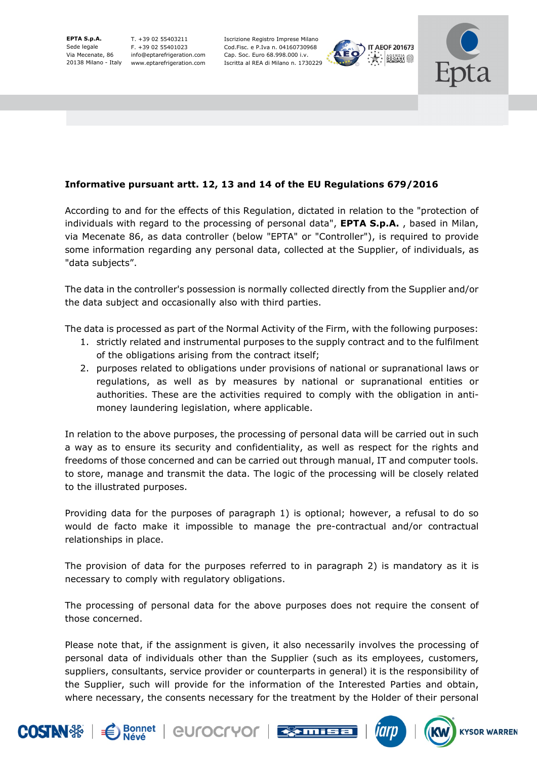**EPTA S.p.A.**  Sede legale Via Mecenate, 86

20138 Milano - Italy www.eptarefrigeration.com T. +39 02 55403211 F. +39 02 55401023 info@eptarefrigeration.com

Iscrizione Registro Imprese Milano Cod.Fisc. e P.Iva n. 04160730968 Cap. Soc. Euro 68.998.000 i.v. Iscritta al REA di Milano n. 1730229





## **Informative pursuant artt. 12, 13 and 14 of the EU Regulations 679/2016**

According to and for the effects of this Regulation, dictated in relation to the "protection of individuals with regard to the processing of personal data", **EPTA S.p.A.** , based in Milan, via Mecenate 86, as data controller (below "EPTA" or "Controller"), is required to provide some information regarding any personal data, collected at the Supplier, of individuals, as "data subjects".

The data in the controller's possession is normally collected directly from the Supplier and/or the data subject and occasionally also with third parties.

The data is processed as part of the Normal Activity of the Firm, with the following purposes:

- 1. strictly related and instrumental purposes to the supply contract and to the fulfilment of the obligations arising from the contract itself;
- 2. purposes related to obligations under provisions of national or supranational laws or regulations, as well as by measures by national or supranational entities or authorities. These are the activities required to comply with the obligation in antimoney laundering legislation, where applicable.

In relation to the above purposes, the processing of personal data will be carried out in such a way as to ensure its security and confidentiality, as well as respect for the rights and freedoms of those concerned and can be carried out through manual, IT and computer tools. to store, manage and transmit the data. The logic of the processing will be closely related to the illustrated purposes.

Providing data for the purposes of paragraph 1) is optional; however, a refusal to do so would de facto make it impossible to manage the pre-contractual and/or contractual relationships in place.

The provision of data for the purposes referred to in paragraph 2) is mandatory as it is necessary to comply with regulatory obligations.

The processing of personal data for the above purposes does not require the consent of those concerned.

Please note that, if the assignment is given, it also necessarily involves the processing of personal data of individuals other than the Supplier (such as its employees, customers, suppliers, consultants, service provider or counterparts in general) it is the responsibility of the Supplier, such will provide for the information of the Interested Parties and obtain, where necessary, the consents necessary for the treatment by the Holder of their personal









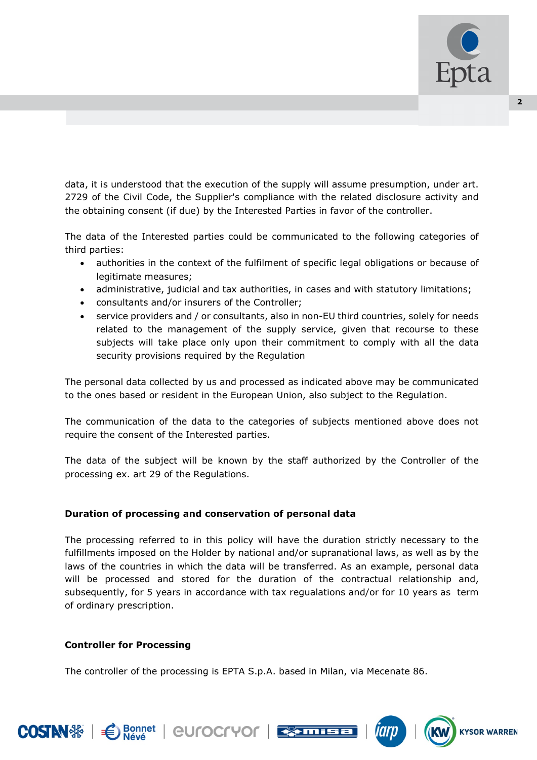

data, it is understood that the execution of the supply will assume presumption, under art. 2729 of the Civil Code, the Supplier's compliance with the related disclosure activity and the obtaining consent (if due) by the Interested Parties in favor of the controller.

The data of the Interested parties could be communicated to the following categories of third parties:

- authorities in the context of the fulfilment of specific legal obligations or because of legitimate measures;
- administrative, judicial and tax authorities, in cases and with statutory limitations;
- consultants and/or insurers of the Controller;
- service providers and / or consultants, also in non-EU third countries, solely for needs related to the management of the supply service, given that recourse to these subjects will take place only upon their commitment to comply with all the data security provisions required by the Regulation

The personal data collected by us and processed as indicated above may be communicated to the ones based or resident in the European Union, also subject to the Regulation.

The communication of the data to the categories of subjects mentioned above does not require the consent of the Interested parties.

The data of the subject will be known by the staff authorized by the Controller of the processing ex. art 29 of the Regulations.

## **Duration of processing and conservation of personal data**

The processing referred to in this policy will have the duration strictly necessary to the fulfillments imposed on the Holder by national and/or supranational laws, as well as by the laws of the countries in which the data will be transferred. As an example, personal data will be processed and stored for the duration of the contractual relationship and, subsequently, for 5 years in accordance with tax regualations and/or for 10 years as term of ordinary prescription.

## **Controller for Processing**

**Bonnet** 

The controller of the processing is EPTA S.p.A. based in Milan, via Mecenate 86.